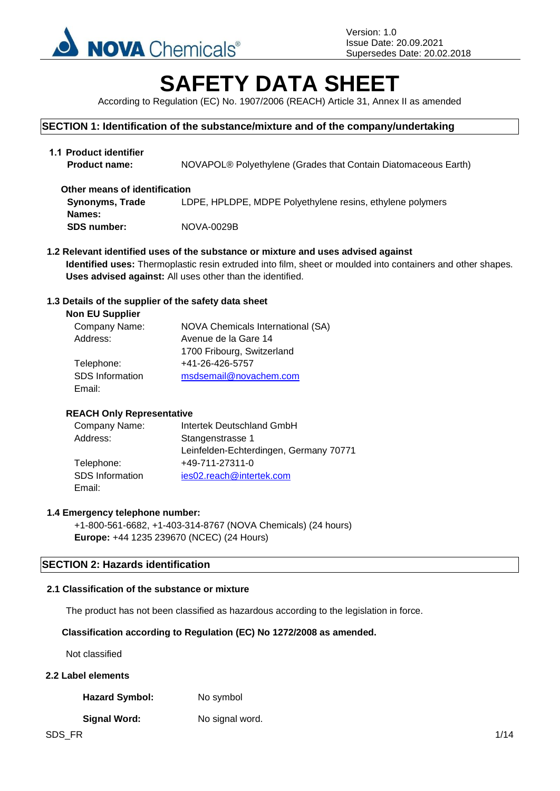

# **SAFETY DATA SHEET**

According to Regulation (EC) No. 1907/2006 (REACH) Article 31, Annex II as amended

# **SECTION 1: Identification of the substance/mixture and of the company/undertaking**

| 1.1 Product identifier<br><b>Product name:</b> | NOVAPOL® Polyethylene (Grades that Contain Diatomaceous Earth) |
|------------------------------------------------|----------------------------------------------------------------|
| Other means of identification                  |                                                                |
| <b>Synonyms, Trade</b>                         | LDPE, HPLDPE, MDPE Polyethylene resins, ethylene polymers      |
| Names:                                         |                                                                |
| <b>SDS number:</b>                             | NOVA-0029B                                                     |

**1.2 Relevant identified uses of the substance or mixture and uses advised against Identified uses:** Thermoplastic resin extruded into film, sheet or moulded into containers and other shapes. **Uses advised against:** All uses other than the identified.

# **1.3 Details of the supplier of the safety data sheet**

| <b>NOVA Chemicals International (SA)</b> |
|------------------------------------------|
| Avenue de la Gare 14                     |
| 1700 Fribourg, Switzerland               |
| +41-26-426-5757                          |
| msdsemail@novachem.com                   |
|                                          |
|                                          |

# **REACH Only Representative**

| Company Name:   | Intertek Deutschland GmbH              |
|-----------------|----------------------------------------|
| Address:        | Stangenstrasse 1                       |
|                 | Leinfelden-Echterdingen, Germany 70771 |
| Telephone:      | +49-711-27311-0                        |
| SDS Information | ies02.reach@intertek.com               |
| Email:          |                                        |

# **1.4 Emergency telephone number:**

+1-800-561-6682, +1-403-314-8767 (NOVA Chemicals) (24 hours) **Europe:** +44 1235 239670 (NCEC) (24 Hours)

# **SECTION 2: Hazards identification**

# **2.1 Classification of the substance or mixture**

The product has not been classified as hazardous according to the legislation in force.

# **Classification according to Regulation (EC) No 1272/2008 as amended.**

Not classified

# **2.2 Label elements**

Hazard Symbol: No symbol

# **Signal Word:** No signal word.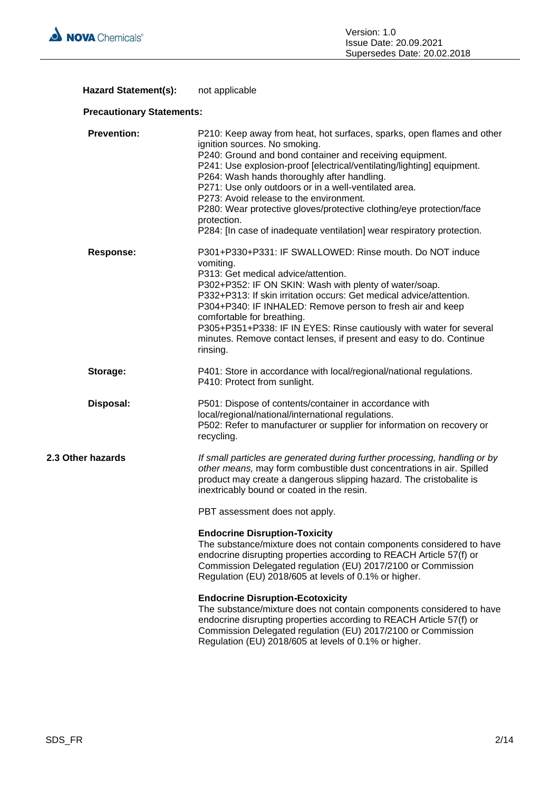

# Hazard Statement(s): not applicable

# **Precautionary Statements:**

| <b>Prevention:</b> | P210: Keep away from heat, hot surfaces, sparks, open flames and other<br>ignition sources. No smoking.<br>P240: Ground and bond container and receiving equipment.<br>P241: Use explosion-proof [electrical/ventilating/lighting] equipment.<br>P264: Wash hands thoroughly after handling.<br>P271: Use only outdoors or in a well-ventilated area.<br>P273: Avoid release to the environment.<br>P280: Wear protective gloves/protective clothing/eye protection/face<br>protection.<br>P284: [In case of inadequate ventilation] wear respiratory protection. |
|--------------------|-------------------------------------------------------------------------------------------------------------------------------------------------------------------------------------------------------------------------------------------------------------------------------------------------------------------------------------------------------------------------------------------------------------------------------------------------------------------------------------------------------------------------------------------------------------------|
| <b>Response:</b>   | P301+P330+P331: IF SWALLOWED: Rinse mouth. Do NOT induce<br>vomiting.<br>P313: Get medical advice/attention.<br>P302+P352: IF ON SKIN: Wash with plenty of water/soap.<br>P332+P313: If skin irritation occurs: Get medical advice/attention.<br>P304+P340: IF INHALED: Remove person to fresh air and keep<br>comfortable for breathing.<br>P305+P351+P338: IF IN EYES: Rinse cautiously with water for several<br>minutes. Remove contact lenses, if present and easy to do. Continue<br>rinsing.                                                               |
| Storage:           | P401: Store in accordance with local/regional/national regulations.<br>P410: Protect from sunlight.                                                                                                                                                                                                                                                                                                                                                                                                                                                               |
| Disposal:          | P501: Dispose of contents/container in accordance with<br>local/regional/national/international regulations.<br>P502: Refer to manufacturer or supplier for information on recovery or<br>recycling.                                                                                                                                                                                                                                                                                                                                                              |
| 2.3 Other hazards  | If small particles are generated during further processing, handling or by<br>other means, may form combustible dust concentrations in air. Spilled<br>product may create a dangerous slipping hazard. The cristobalite is<br>inextricably bound or coated in the resin.                                                                                                                                                                                                                                                                                          |
|                    | PBT assessment does not apply.                                                                                                                                                                                                                                                                                                                                                                                                                                                                                                                                    |
|                    | <b>Endocrine Disruption-Toxicity</b><br>The substance/mixture does not contain components considered to have<br>endocrine disrupting properties according to REACH Article 57(f) or<br>Commission Delegated regulation (EU) 2017/2100 or Commission<br>Regulation (EU) 2018/605 at levels of 0.1% or higher.                                                                                                                                                                                                                                                      |
|                    | <b>Endocrine Disruption-Ecotoxicity</b><br>The substance/mixture does not contain components considered to have<br>endocrine disrupting properties according to REACH Article 57(f) or<br>Commission Delegated regulation (EU) 2017/2100 or Commission<br>Regulation (EU) 2018/605 at levels of 0.1% or higher.                                                                                                                                                                                                                                                   |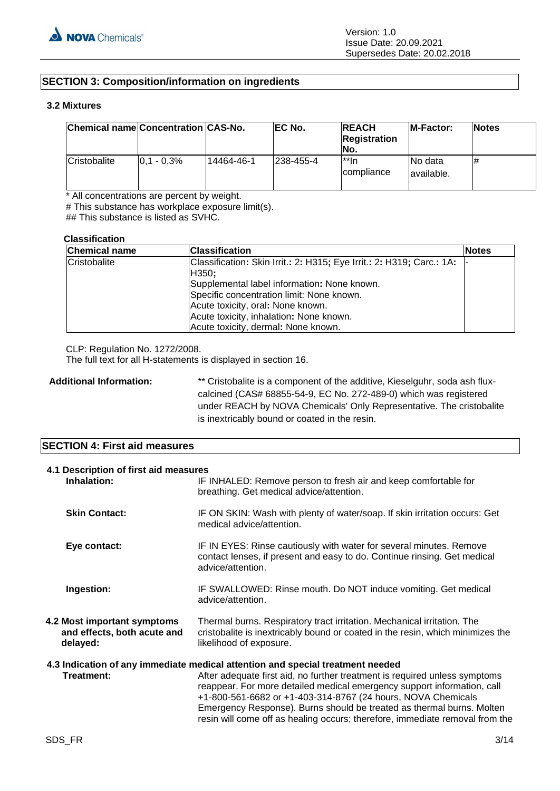# **SECTION 3: Composition/information on ingredients**

# **3.2 Mixtures**

| Chemical name Concentration CAS-No. |                 |            | EC No.     | <b>REACH</b><br><b>Registration</b><br>INo. | <b>IM-Factor:</b>       | <b>Notes</b> |
|-------------------------------------|-----------------|------------|------------|---------------------------------------------|-------------------------|--------------|
| Cristobalite                        | $ 0.1 - 0.3\% $ | 14464-46-1 | 1238-455-4 | l**In<br><i>compliance</i>                  | INo data<br>lavailable. | #            |

\* All concentrations are percent by weight.

# This substance has workplace exposure limit(s).

## This substance is listed as SVHC.

#### **Classification**

| <b>Chemical name</b> | <b>Classification</b>                                                 | <b>Notes</b> |
|----------------------|-----------------------------------------------------------------------|--------------|
| Cristobalite         | Classification: Skin Irrit.: 2: H315; Eye Irrit.: 2: H319; Carc.: 1A: |              |
|                      | H350;                                                                 |              |
|                      | Supplemental label information: None known.                           |              |
|                      | Specific concentration limit: None known.                             |              |
|                      | Acute toxicity, oral: None known.                                     |              |
|                      | Acute toxicity, inhalation: None known.                               |              |
|                      | Acute toxicity, dermal: None known.                                   |              |

CLP: Regulation No. 1272/2008.

The full text for all H-statements is displayed in section 16.

Additional Information: \*\* Cristobalite is a component of the additive, Kieselguhr, soda ash fluxcalcined (CAS# 68855-54-9, EC No. 272-489-0) which was registered under REACH by NOVA Chemicals' Only Representative. The cristobalite is inextricably bound or coated in the resin.

# **SECTION 4: First aid measures**

| 4.1 Description of first aid measures<br>Inhalation:                   | IF INHALED: Remove person to fresh air and keep comfortable for<br>breathing. Get medical advice/attention.                                                                                                                                                                                                                                                                                                                                                      |  |
|------------------------------------------------------------------------|------------------------------------------------------------------------------------------------------------------------------------------------------------------------------------------------------------------------------------------------------------------------------------------------------------------------------------------------------------------------------------------------------------------------------------------------------------------|--|
| <b>Skin Contact:</b>                                                   | IF ON SKIN: Wash with plenty of water/soap. If skin irritation occurs: Get<br>medical advice/attention.                                                                                                                                                                                                                                                                                                                                                          |  |
| Eye contact:                                                           | IF IN EYES: Rinse cautiously with water for several minutes. Remove<br>contact lenses, if present and easy to do. Continue rinsing. Get medical<br>advice/attention.                                                                                                                                                                                                                                                                                             |  |
| Ingestion:                                                             | IF SWALLOWED: Rinse mouth. Do NOT induce vomiting. Get medical<br>advice/attention.                                                                                                                                                                                                                                                                                                                                                                              |  |
| 4.2 Most important symptoms<br>and effects, both acute and<br>delayed: | Thermal burns. Respiratory tract irritation. Mechanical irritation. The<br>cristobalite is inextricably bound or coated in the resin, which minimizes the<br>likelihood of exposure.                                                                                                                                                                                                                                                                             |  |
| Treatment:                                                             | 4.3 Indication of any immediate medical attention and special treatment needed<br>After adequate first aid, no further treatment is required unless symptoms<br>reappear. For more detailed medical emergency support information, call<br>+1-800-561-6682 or +1-403-314-8767 (24 hours, NOVA Chemicals<br>Emergency Response). Burns should be treated as thermal burns. Molten<br>resin will come off as healing occurs; therefore, immediate removal from the |  |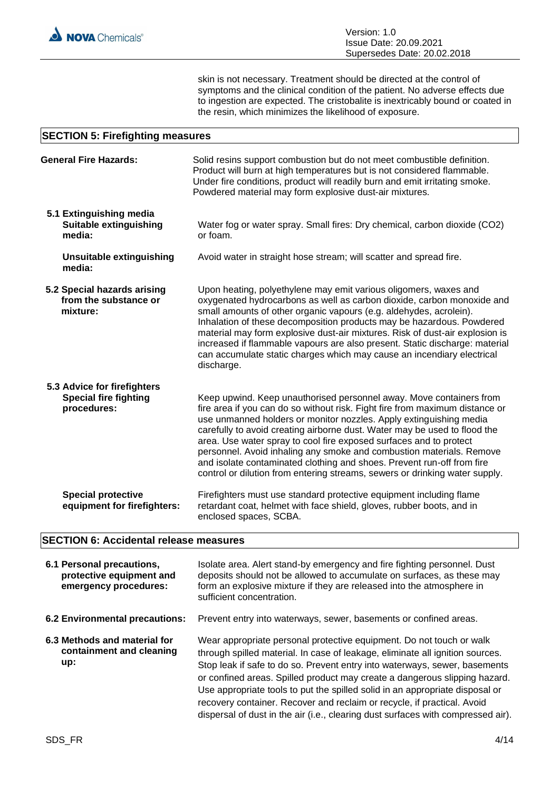skin is not necessary. Treatment should be directed at the control of symptoms and the clinical condition of the patient. No adverse effects due to ingestion are expected. The cristobalite is inextricably bound or coated in the resin, which minimizes the likelihood of exposure.

# **SECTION 5: Firefighting measures**

| <b>General Fire Hazards:</b>                                               | Solid resins support combustion but do not meet combustible definition.<br>Product will burn at high temperatures but is not considered flammable.<br>Under fire conditions, product will readily burn and emit irritating smoke.<br>Powdered material may form explosive dust-air mixtures.                                                                                                                                                                                                                                                                                                                  |
|----------------------------------------------------------------------------|---------------------------------------------------------------------------------------------------------------------------------------------------------------------------------------------------------------------------------------------------------------------------------------------------------------------------------------------------------------------------------------------------------------------------------------------------------------------------------------------------------------------------------------------------------------------------------------------------------------|
| 5.1 Extinguishing media<br>Suitable extinguishing<br>media:                | Water fog or water spray. Small fires: Dry chemical, carbon dioxide (CO2)<br>or foam.                                                                                                                                                                                                                                                                                                                                                                                                                                                                                                                         |
| <b>Unsuitable extinguishing</b><br>media:                                  | Avoid water in straight hose stream; will scatter and spread fire.                                                                                                                                                                                                                                                                                                                                                                                                                                                                                                                                            |
| 5.2 Special hazards arising<br>from the substance or<br>mixture:           | Upon heating, polyethylene may emit various oligomers, waxes and<br>oxygenated hydrocarbons as well as carbon dioxide, carbon monoxide and<br>small amounts of other organic vapours (e.g. aldehydes, acrolein).<br>Inhalation of these decomposition products may be hazardous. Powdered<br>material may form explosive dust-air mixtures. Risk of dust-air explosion is<br>increased if flammable vapours are also present. Static discharge: material<br>can accumulate static charges which may cause an incendiary electrical<br>discharge.                                                              |
| 5.3 Advice for firefighters<br><b>Special fire fighting</b><br>procedures: | Keep upwind. Keep unauthorised personnel away. Move containers from<br>fire area if you can do so without risk. Fight fire from maximum distance or<br>use unmanned holders or monitor nozzles. Apply extinguishing media<br>carefully to avoid creating airborne dust. Water may be used to flood the<br>area. Use water spray to cool fire exposed surfaces and to protect<br>personnel. Avoid inhaling any smoke and combustion materials. Remove<br>and isolate contaminated clothing and shoes. Prevent run-off from fire<br>control or dilution from entering streams, sewers or drinking water supply. |
| <b>Special protective</b><br>equipment for firefighters:                   | Firefighters must use standard protective equipment including flame<br>retardant coat, helmet with face shield, gloves, rubber boots, and in<br>enclosed spaces, SCBA.                                                                                                                                                                                                                                                                                                                                                                                                                                        |

# **SECTION 6: Accidental release measures**

| 6.1 Personal precautions,<br>protective equipment and<br>emergency procedures: | Isolate area. Alert stand-by emergency and fire fighting personnel. Dust<br>deposits should not be allowed to accumulate on surfaces, as these may<br>form an explosive mixture if they are released into the atmosphere in<br>sufficient concentration.                                                                                                                                                                                                                                                                                                         |
|--------------------------------------------------------------------------------|------------------------------------------------------------------------------------------------------------------------------------------------------------------------------------------------------------------------------------------------------------------------------------------------------------------------------------------------------------------------------------------------------------------------------------------------------------------------------------------------------------------------------------------------------------------|
| 6.2 Environmental precautions:                                                 | Prevent entry into waterways, sewer, basements or confined areas.                                                                                                                                                                                                                                                                                                                                                                                                                                                                                                |
| 6.3 Methods and material for<br>containment and cleaning<br>up:                | Wear appropriate personal protective equipment. Do not touch or walk<br>through spilled material. In case of leakage, eliminate all ignition sources.<br>Stop leak if safe to do so. Prevent entry into waterways, sewer, basements<br>or confined areas. Spilled product may create a dangerous slipping hazard.<br>Use appropriate tools to put the spilled solid in an appropriate disposal or<br>recovery container. Recover and reclaim or recycle, if practical. Avoid<br>dispersal of dust in the air (i.e., clearing dust surfaces with compressed air). |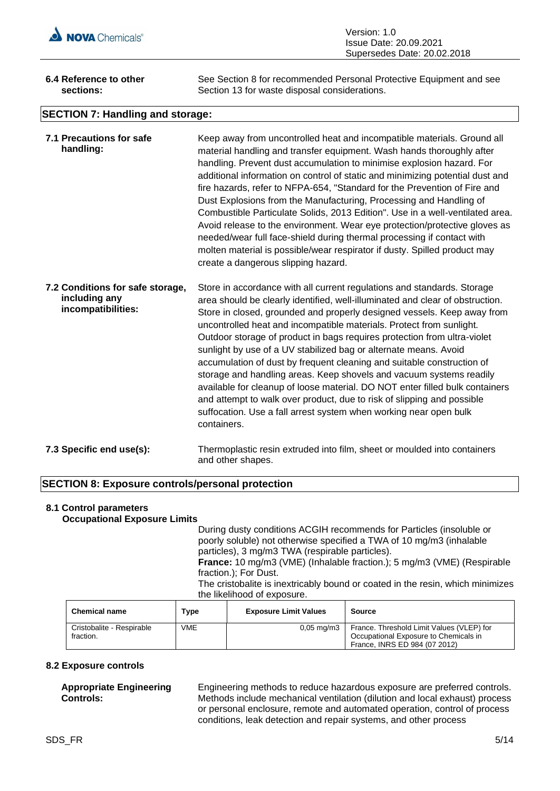

| Version: 1.0                |
|-----------------------------|
| Issue Date: 20.09.2021      |
| Supersedes Date: 20.02.2018 |

| 6.4 Reference to other                  | See Section 8 for recommended Personal Protective Equipment and see |  |  |
|-----------------------------------------|---------------------------------------------------------------------|--|--|
| sections:                               | Section 13 for waste disposal considerations.                       |  |  |
| <b>SECTION 7: Handling and storage:</b> |                                                                     |  |  |

| 7.1 Precautions for safe<br>handling:                                   | Keep away from uncontrolled heat and incompatible materials. Ground all<br>material handling and transfer equipment. Wash hands thoroughly after<br>handling. Prevent dust accumulation to minimise explosion hazard. For<br>additional information on control of static and minimizing potential dust and<br>fire hazards, refer to NFPA-654, "Standard for the Prevention of Fire and<br>Dust Explosions from the Manufacturing, Processing and Handling of<br>Combustible Particulate Solids, 2013 Edition". Use in a well-ventilated area.<br>Avoid release to the environment. Wear eye protection/protective gloves as<br>needed/wear full face-shield during thermal processing if contact with<br>molten material is possible/wear respirator if dusty. Spilled product may<br>create a dangerous slipping hazard.                                 |
|-------------------------------------------------------------------------|------------------------------------------------------------------------------------------------------------------------------------------------------------------------------------------------------------------------------------------------------------------------------------------------------------------------------------------------------------------------------------------------------------------------------------------------------------------------------------------------------------------------------------------------------------------------------------------------------------------------------------------------------------------------------------------------------------------------------------------------------------------------------------------------------------------------------------------------------------|
| 7.2 Conditions for safe storage,<br>including any<br>incompatibilities: | Store in accordance with all current regulations and standards. Storage<br>area should be clearly identified, well-illuminated and clear of obstruction.<br>Store in closed, grounded and properly designed vessels. Keep away from<br>uncontrolled heat and incompatible materials. Protect from sunlight.<br>Outdoor storage of product in bags requires protection from ultra-violet<br>sunlight by use of a UV stabilized bag or alternate means. Avoid<br>accumulation of dust by frequent cleaning and suitable construction of<br>storage and handling areas. Keep shovels and vacuum systems readily<br>available for cleanup of loose material. DO NOT enter filled bulk containers<br>and attempt to walk over product, due to risk of slipping and possible<br>suffocation. Use a fall arrest system when working near open bulk<br>containers. |
| 7.3 Specific end use(s):                                                | Thermoplastic resin extruded into film, sheet or moulded into containers<br>and other shapes.                                                                                                                                                                                                                                                                                                                                                                                                                                                                                                                                                                                                                                                                                                                                                              |

# **SECTION 8: Exposure controls/personal protection**

#### **8.1 Control parameters Occupational Exposure Limits**

During dusty conditions ACGIH recommends for Particles (insoluble or poorly soluble) not otherwise specified a TWA of 10 mg/m3 (inhalable particles), 3 mg/m3 TWA (respirable particles). **France:** 10 mg/m3 (VME) (Inhalable fraction.); 5 mg/m3 (VME) (Respirable fraction.); For Dust.

The cristobalite is inextricably bound or coated in the resin, which minimizes the likelihood of exposure.

| <b>Chemical name</b>                   | Type | <b>Exposure Limit Values</b> | Source                                                                                                              |
|----------------------------------------|------|------------------------------|---------------------------------------------------------------------------------------------------------------------|
| Cristobalite - Respirable<br>fraction. | VME  | $0.05 \text{ mg/m}3$         | France. Threshold Limit Values (VLEP) for<br>Occupational Exposure to Chemicals in<br>France, INRS ED 984 (07 2012) |

# **8.2 Exposure controls**

**Appropriate Engineering Controls:**

Engineering methods to reduce hazardous exposure are preferred controls. Methods include mechanical ventilation (dilution and local exhaust) process or personal enclosure, remote and automated operation, control of process conditions, leak detection and repair systems, and other process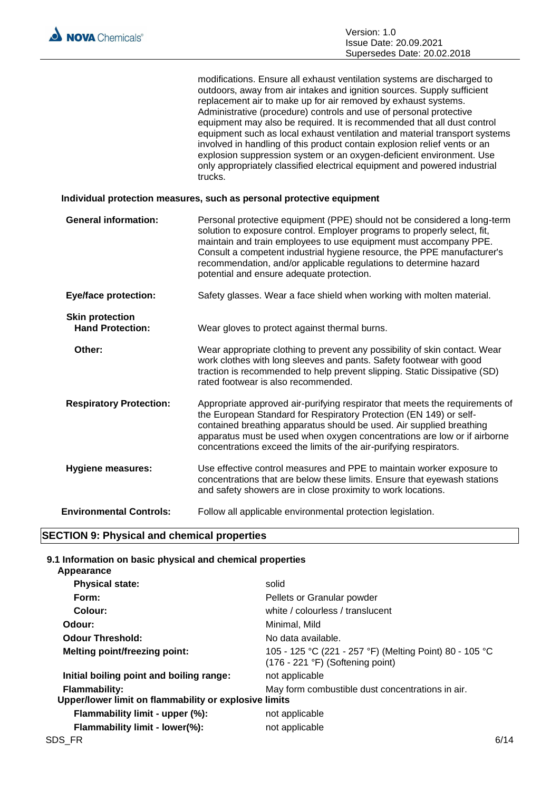modifications. Ensure all exhaust ventilation systems are discharged to outdoors, away from air intakes and ignition sources. Supply sufficient replacement air to make up for air removed by exhaust systems. Administrative (procedure) controls and use of personal protective equipment may also be required. It is recommended that all dust control equipment such as local exhaust ventilation and material transport systems involved in handling of this product contain explosion relief vents or an explosion suppression system or an oxygen-deficient environment. Use only appropriately classified electrical equipment and powered industrial trucks.

# **Individual protection measures, such as personal protective equipment**

| <b>General information:</b>                       | Personal protective equipment (PPE) should not be considered a long-term<br>solution to exposure control. Employer programs to properly select, fit,<br>maintain and train employees to use equipment must accompany PPE.<br>Consult a competent industrial hygiene resource, the PPE manufacturer's<br>recommendation, and/or applicable regulations to determine hazard<br>potential and ensure adequate protection. |
|---------------------------------------------------|------------------------------------------------------------------------------------------------------------------------------------------------------------------------------------------------------------------------------------------------------------------------------------------------------------------------------------------------------------------------------------------------------------------------|
| <b>Eye/face protection:</b>                       | Safety glasses. Wear a face shield when working with molten material.                                                                                                                                                                                                                                                                                                                                                  |
| <b>Skin protection</b><br><b>Hand Protection:</b> | Wear gloves to protect against thermal burns.                                                                                                                                                                                                                                                                                                                                                                          |
| Other:                                            | Wear appropriate clothing to prevent any possibility of skin contact. Wear<br>work clothes with long sleeves and pants. Safety footwear with good<br>traction is recommended to help prevent slipping. Static Dissipative (SD)<br>rated footwear is also recommended.                                                                                                                                                  |
| <b>Respiratory Protection:</b>                    | Appropriate approved air-purifying respirator that meets the requirements of<br>the European Standard for Respiratory Protection (EN 149) or self-<br>contained breathing apparatus should be used. Air supplied breathing<br>apparatus must be used when oxygen concentrations are low or if airborne<br>concentrations exceed the limits of the air-purifying respirators.                                           |
| <b>Hygiene measures:</b>                          | Use effective control measures and PPE to maintain worker exposure to<br>concentrations that are below these limits. Ensure that eyewash stations<br>and safety showers are in close proximity to work locations.                                                                                                                                                                                                      |
| <b>Environmental Controls:</b>                    | Follow all applicable environmental protection legislation.                                                                                                                                                                                                                                                                                                                                                            |
|                                                   |                                                                                                                                                                                                                                                                                                                                                                                                                        |

# **SECTION 9: Physical and chemical properties**

# **9.1 Information on basic physical and chemical properties**

| Appearance                                                                    |                                                                                                      |      |
|-------------------------------------------------------------------------------|------------------------------------------------------------------------------------------------------|------|
| <b>Physical state:</b>                                                        | solid                                                                                                |      |
| Form:                                                                         | Pellets or Granular powder                                                                           |      |
| Colour:                                                                       | white / colourless / translucent                                                                     |      |
| Odour:                                                                        | Minimal, Mild                                                                                        |      |
| <b>Odour Threshold:</b>                                                       | No data available.                                                                                   |      |
| <b>Melting point/freezing point:</b>                                          | 105 - 125 °C (221 - 257 °F) (Melting Point) 80 - 105 °C<br>$(176 - 221 \degree F)$ (Softening point) |      |
| Initial boiling point and boiling range:                                      | not applicable                                                                                       |      |
| <b>Flammability:</b><br>Upper/lower limit on flammability or explosive limits | May form combustible dust concentrations in air.                                                     |      |
| Flammability limit - upper (%):                                               | not applicable                                                                                       |      |
| Flammability limit - lower(%):                                                | not applicable                                                                                       |      |
| SDS FR                                                                        |                                                                                                      | 6/14 |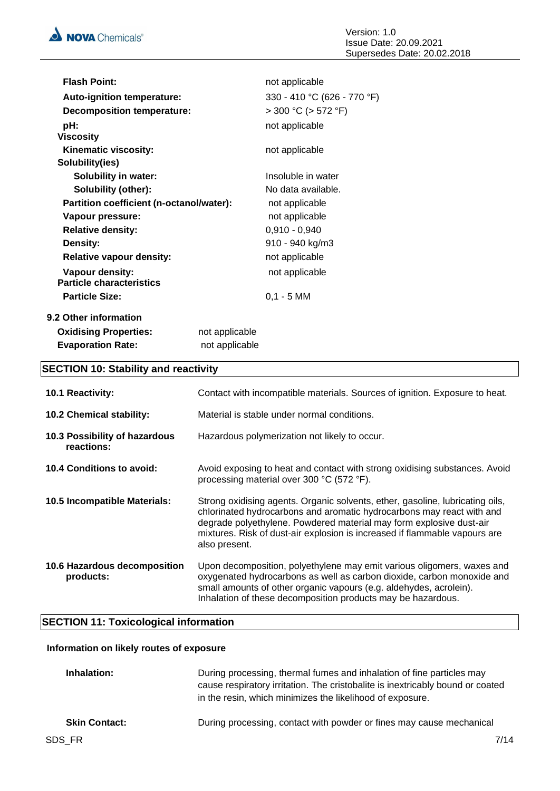| <b>Flash Point:</b>                      |                | not applicable              |
|------------------------------------------|----------------|-----------------------------|
| <b>Auto-ignition temperature:</b>        |                | 330 - 410 °C (626 - 770 °F) |
| <b>Decomposition temperature:</b>        |                | $>$ 300 °C ( $>$ 572 °F)    |
| pH:                                      |                | not applicable              |
| <b>Viscosity</b>                         |                |                             |
| Kinematic viscosity:                     |                | not applicable              |
| Solubility(ies)                          |                |                             |
| <b>Solubility in water:</b>              |                | Insoluble in water          |
| Solubility (other):                      |                | No data available.          |
| Partition coefficient (n-octanol/water): |                | not applicable              |
| Vapour pressure:                         |                | not applicable              |
| <b>Relative density:</b>                 |                | $0,910 - 0,940$             |
| Density:                                 |                | 910 - 940 kg/m3             |
| <b>Relative vapour density:</b>          |                | not applicable              |
| Vapour density:                          |                | not applicable              |
| <b>Particle characteristics</b>          |                |                             |
| <b>Particle Size:</b>                    |                | $0,1 - 5$ MM                |
| 9.2 Other information                    |                |                             |
| <b>Oxidising Properties:</b>             | not applicable |                             |
| <b>Evaporation Rate:</b>                 | not applicable |                             |

# **SECTION 10: Stability and reactivity**

| <b>10.1 Reactivity:</b>                     | Contact with incompatible materials. Sources of ignition. Exposure to heat.                                                                                                                                                                                                                                                  |
|---------------------------------------------|------------------------------------------------------------------------------------------------------------------------------------------------------------------------------------------------------------------------------------------------------------------------------------------------------------------------------|
| 10.2 Chemical stability:                    | Material is stable under normal conditions.                                                                                                                                                                                                                                                                                  |
| 10.3 Possibility of hazardous<br>reactions: | Hazardous polymerization not likely to occur.                                                                                                                                                                                                                                                                                |
| 10.4 Conditions to avoid:                   | Avoid exposing to heat and contact with strong oxidising substances. Avoid<br>processing material over 300 °C (572 °F).                                                                                                                                                                                                      |
| 10.5 Incompatible Materials:                | Strong oxidising agents. Organic solvents, ether, gasoline, lubricating oils,<br>chlorinated hydrocarbons and aromatic hydrocarbons may react with and<br>degrade polyethylene. Powdered material may form explosive dust-air<br>mixtures. Risk of dust-air explosion is increased if flammable vapours are<br>also present. |
| 10.6 Hazardous decomposition<br>products:   | Upon decomposition, polyethylene may emit various oligomers, waxes and<br>oxygenated hydrocarbons as well as carbon dioxide, carbon monoxide and<br>small amounts of other organic vapours (e.g. aldehydes, acrolein).<br>Inhalation of these decomposition products may be hazardous.                                       |

# **SECTION 11: Toxicological information**

# **Information on likely routes of exposure**

| Inhalation:          | During processing, thermal fumes and inhalation of fine particles may<br>cause respiratory irritation. The cristobalite is inextricably bound or coated<br>in the resin, which minimizes the likelihood of exposure. |
|----------------------|----------------------------------------------------------------------------------------------------------------------------------------------------------------------------------------------------------------------|
| <b>Skin Contact:</b> | During processing, contact with powder or fines may cause mechanical                                                                                                                                                 |
| SDS FR               | 7/14                                                                                                                                                                                                                 |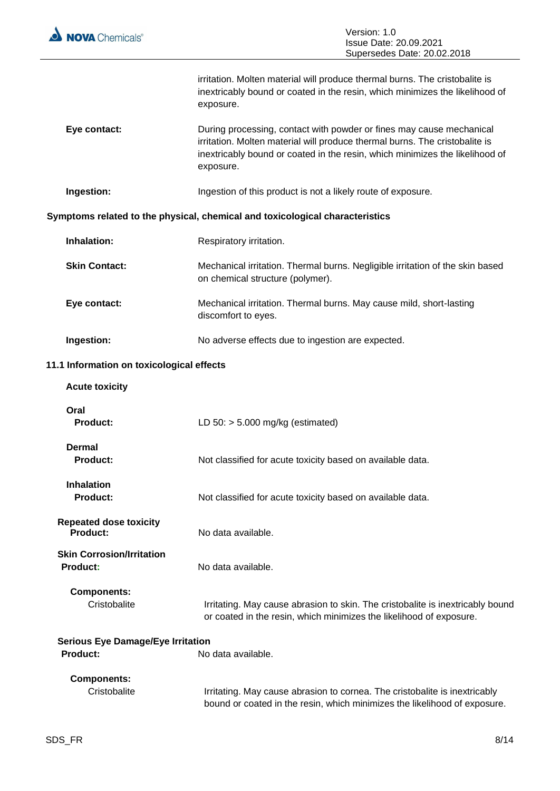

 $\overline{a}$ 

|                                                      | irritation. Molten material will produce thermal burns. The cristobalite is<br>inextricably bound or coated in the resin, which minimizes the likelihood of<br>exposure.                                                                         |
|------------------------------------------------------|--------------------------------------------------------------------------------------------------------------------------------------------------------------------------------------------------------------------------------------------------|
| Eye contact:                                         | During processing, contact with powder or fines may cause mechanical<br>irritation. Molten material will produce thermal burns. The cristobalite is<br>inextricably bound or coated in the resin, which minimizes the likelihood of<br>exposure. |
| Ingestion:                                           | Ingestion of this product is not a likely route of exposure.                                                                                                                                                                                     |
|                                                      | Symptoms related to the physical, chemical and toxicological characteristics                                                                                                                                                                     |
| Inhalation:                                          | Respiratory irritation.                                                                                                                                                                                                                          |
| <b>Skin Contact:</b>                                 | Mechanical irritation. Thermal burns. Negligible irritation of the skin based<br>on chemical structure (polymer).                                                                                                                                |
| Eye contact:                                         | Mechanical irritation. Thermal burns. May cause mild, short-lasting<br>discomfort to eyes.                                                                                                                                                       |
| Ingestion:                                           | No adverse effects due to ingestion are expected.                                                                                                                                                                                                |
| 11.1 Information on toxicological effects            |                                                                                                                                                                                                                                                  |
| <b>Acute toxicity</b>                                |                                                                                                                                                                                                                                                  |
| Oral<br><b>Product:</b>                              | LD $50:$ > 5.000 mg/kg (estimated)                                                                                                                                                                                                               |
| <b>Dermal</b><br>Product:                            | Not classified for acute toxicity based on available data.                                                                                                                                                                                       |
| <b>Inhalation</b><br><b>Product:</b>                 | Not classified for acute toxicity based on available data.                                                                                                                                                                                       |
| <b>Repeated dose toxicity</b><br><b>Product:</b>     | No data available.                                                                                                                                                                                                                               |
| <b>Skin Corrosion/Irritation</b><br>Product:         | No data available.                                                                                                                                                                                                                               |
| <b>Components:</b><br>Cristobalite                   | Irritating. May cause abrasion to skin. The cristobalite is inextricably bound<br>or coated in the resin, which minimizes the likelihood of exposure.                                                                                            |
| <b>Serious Eye Damage/Eye Irritation</b><br>Product: | No data available.                                                                                                                                                                                                                               |
| <b>Components:</b><br>Cristobalite                   | Irritating. May cause abrasion to cornea. The cristobalite is inextricably<br>bound or coated in the resin, which minimizes the likelihood of exposure.                                                                                          |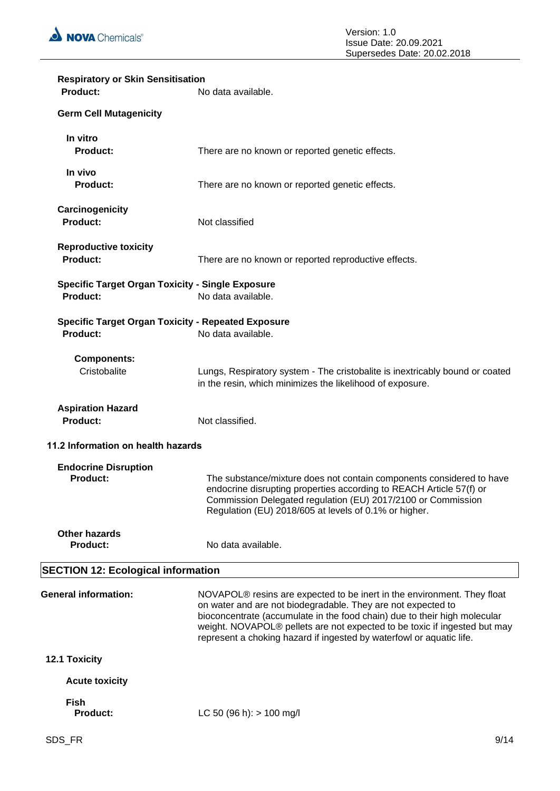

| <b>Respiratory or Skin Sensitisation</b><br><b>Product:</b>                | No data available.                                                                                                                                                                                                                                                                                                                                                                    |
|----------------------------------------------------------------------------|---------------------------------------------------------------------------------------------------------------------------------------------------------------------------------------------------------------------------------------------------------------------------------------------------------------------------------------------------------------------------------------|
| <b>Germ Cell Mutagenicity</b>                                              |                                                                                                                                                                                                                                                                                                                                                                                       |
|                                                                            |                                                                                                                                                                                                                                                                                                                                                                                       |
| In vitro<br><b>Product:</b>                                                | There are no known or reported genetic effects.                                                                                                                                                                                                                                                                                                                                       |
| In vivo<br>Product:                                                        | There are no known or reported genetic effects.                                                                                                                                                                                                                                                                                                                                       |
| Carcinogenicity<br><b>Product:</b>                                         | Not classified                                                                                                                                                                                                                                                                                                                                                                        |
| <b>Reproductive toxicity</b><br><b>Product:</b>                            | There are no known or reported reproductive effects.                                                                                                                                                                                                                                                                                                                                  |
| <b>Specific Target Organ Toxicity - Single Exposure</b><br><b>Product:</b> | No data available.                                                                                                                                                                                                                                                                                                                                                                    |
| <b>Specific Target Organ Toxicity - Repeated Exposure</b><br>Product:      | No data available.                                                                                                                                                                                                                                                                                                                                                                    |
| <b>Components:</b><br>Cristobalite                                         | Lungs, Respiratory system - The cristobalite is inextricably bound or coated<br>in the resin, which minimizes the likelihood of exposure.                                                                                                                                                                                                                                             |
| <b>Aspiration Hazard</b><br><b>Product:</b>                                | Not classified.                                                                                                                                                                                                                                                                                                                                                                       |
| 11.2 Information on health hazards                                         |                                                                                                                                                                                                                                                                                                                                                                                       |
| <b>Endocrine Disruption</b><br><b>Product:</b>                             | The substance/mixture does not contain components considered to have<br>endocrine disrupting properties according to REACH Article 57(f) or<br>Commission Delegated regulation (EU) 2017/2100 or Commission<br>Regulation (EU) 2018/605 at levels of 0.1% or higher.                                                                                                                  |
| <b>Other hazards</b><br><b>Product:</b>                                    | No data available.                                                                                                                                                                                                                                                                                                                                                                    |
| <b>SECTION 12: Ecological information</b>                                  |                                                                                                                                                                                                                                                                                                                                                                                       |
| <b>General information:</b>                                                | NOVAPOL <sup>®</sup> resins are expected to be inert in the environment. They float<br>on water and are not biodegradable. They are not expected to<br>bioconcentrate (accumulate in the food chain) due to their high molecular<br>weight. NOVAPOL® pellets are not expected to be toxic if ingested but may<br>represent a choking hazard if ingested by waterfowl or aquatic life. |
| 12.1 Toxicity                                                              |                                                                                                                                                                                                                                                                                                                                                                                       |
| <b>Acute toxicity</b>                                                      |                                                                                                                                                                                                                                                                                                                                                                                       |
| <b>Fish</b><br><b>Product:</b>                                             | LC 50 (96 h): $> 100$ mg/l                                                                                                                                                                                                                                                                                                                                                            |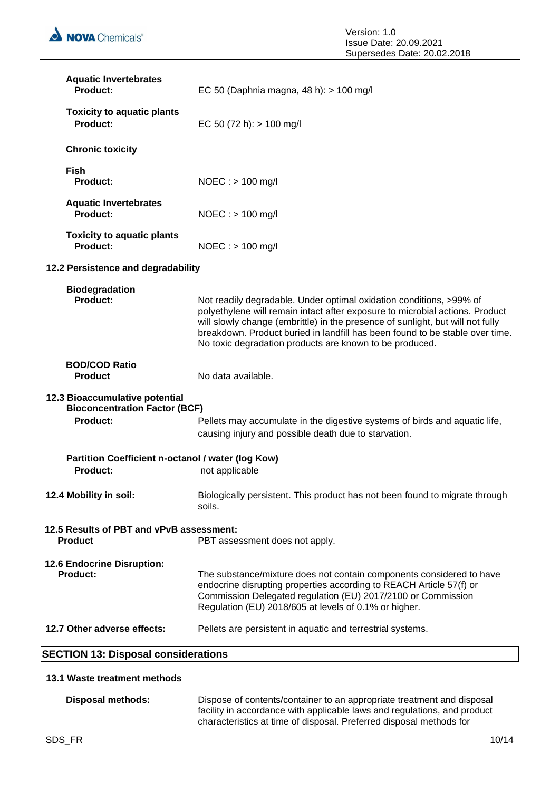| <b>SECTION 13: Disposal considerations</b>                                                |                                                                                                                                                                                                                                                                                                                                                                                  |
|-------------------------------------------------------------------------------------------|----------------------------------------------------------------------------------------------------------------------------------------------------------------------------------------------------------------------------------------------------------------------------------------------------------------------------------------------------------------------------------|
| 12.7 Other adverse effects:                                                               | Pellets are persistent in aquatic and terrestrial systems.                                                                                                                                                                                                                                                                                                                       |
| <b>12.6 Endocrine Disruption:</b><br><b>Product:</b>                                      | The substance/mixture does not contain components considered to have<br>endocrine disrupting properties according to REACH Article 57(f) or<br>Commission Delegated regulation (EU) 2017/2100 or Commission<br>Regulation (EU) 2018/605 at levels of 0.1% or higher.                                                                                                             |
| 12.5 Results of PBT and vPvB assessment:<br><b>Product</b>                                | PBT assessment does not apply.                                                                                                                                                                                                                                                                                                                                                   |
| 12.4 Mobility in soil:                                                                    | Biologically persistent. This product has not been found to migrate through<br>soils.                                                                                                                                                                                                                                                                                            |
| Partition Coefficient n-octanol / water (log Kow)<br>Product:                             | not applicable                                                                                                                                                                                                                                                                                                                                                                   |
| 12.3 Bioaccumulative potential<br><b>Bioconcentration Factor (BCF)</b><br><b>Product:</b> | Pellets may accumulate in the digestive systems of birds and aquatic life,<br>causing injury and possible death due to starvation.                                                                                                                                                                                                                                               |
| <b>BOD/COD Ratio</b><br><b>Product</b>                                                    | No data available.                                                                                                                                                                                                                                                                                                                                                               |
| <b>Biodegradation</b><br><b>Product:</b>                                                  | Not readily degradable. Under optimal oxidation conditions, >99% of<br>polyethylene will remain intact after exposure to microbial actions. Product<br>will slowly change (embrittle) in the presence of sunlight, but will not fully<br>breakdown. Product buried in landfill has been found to be stable over time.<br>No toxic degradation products are known to be produced. |
| 12.2 Persistence and degradability                                                        |                                                                                                                                                                                                                                                                                                                                                                                  |
| <b>Toxicity to aquatic plants</b><br><b>Product:</b>                                      | $NOEC : > 100$ mg/l                                                                                                                                                                                                                                                                                                                                                              |
| <b>Aquatic Invertebrates</b><br><b>Product:</b>                                           | $NOEC :$ > 100 mg/l                                                                                                                                                                                                                                                                                                                                                              |
| <b>Fish</b><br>Product:                                                                   | NOEC: > 100 mg/l                                                                                                                                                                                                                                                                                                                                                                 |
| <b>Chronic toxicity</b>                                                                   |                                                                                                                                                                                                                                                                                                                                                                                  |
| <b>Toxicity to aquatic plants</b><br><b>Product:</b>                                      | EC 50 (72 h): $> 100$ mg/l                                                                                                                                                                                                                                                                                                                                                       |
| <b>Aquatic Invertebrates</b><br><b>Product:</b>                                           | EC 50 (Daphnia magna, 48 h): > 100 mg/l                                                                                                                                                                                                                                                                                                                                          |

# **13.1 Waste treatment methods**

| Disposal methods: | Dispose of contents/container to an appropriate treatment and disposal   |
|-------------------|--------------------------------------------------------------------------|
|                   | facility in accordance with applicable laws and regulations, and product |
|                   | characteristics at time of disposal. Preferred disposal methods for      |

Π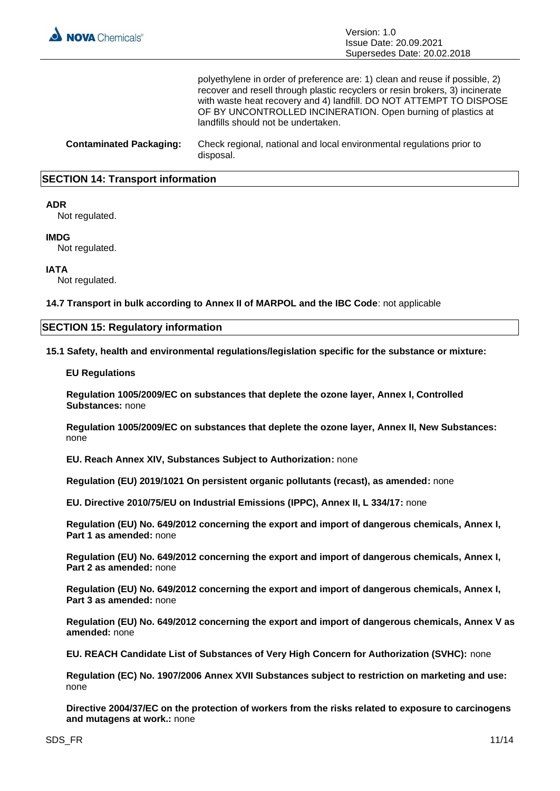

polyethylene in order of preference are: 1) clean and reuse if possible, 2) recover and resell through plastic recyclers or resin brokers, 3) incinerate with waste heat recovery and 4) landfill. DO NOT ATTEMPT TO DISPOSE OF BY UNCONTROLLED INCINERATION. Open burning of plastics at landfills should not be undertaken.

**Contaminated Packaging:** Check regional, national and local environmental regulations prior to disposal.

## **SECTION 14: Transport information**

### **ADR**

Not regulated.

#### **IMDG**

Not regulated.

# **IATA**

Not regulated.

**14.7 Transport in bulk according to Annex II of MARPOL and the IBC Code**: not applicable

## **SECTION 15: Regulatory information**

**15.1 Safety, health and environmental regulations/legislation specific for the substance or mixture:**

#### **EU Regulations**

**Regulation 1005/2009/EC on substances that deplete the ozone layer, Annex I, Controlled Substances:** none

**Regulation 1005/2009/EC on substances that deplete the ozone layer, Annex II, New Substances:**  none

**EU. Reach Annex XIV, Substances Subject to Authorization:** none

**Regulation (EU) 2019/1021 On persistent organic pollutants (recast), as amended:** none

**EU. Directive 2010/75/EU on Industrial Emissions (IPPC), Annex II, L 334/17:** none

**Regulation (EU) No. 649/2012 concerning the export and import of dangerous chemicals, Annex I, Part 1 as amended:** none

**Regulation (EU) No. 649/2012 concerning the export and import of dangerous chemicals, Annex I, Part 2 as amended:** none

**Regulation (EU) No. 649/2012 concerning the export and import of dangerous chemicals, Annex I, Part 3 as amended:** none

**Regulation (EU) No. 649/2012 concerning the export and import of dangerous chemicals, Annex V as amended:** none

**EU. REACH Candidate List of Substances of Very High Concern for Authorization (SVHC):** none

**Regulation (EC) No. 1907/2006 Annex XVII Substances subject to restriction on marketing and use:**  none

**Directive 2004/37/EC on the protection of workers from the risks related to exposure to carcinogens and mutagens at work.:** none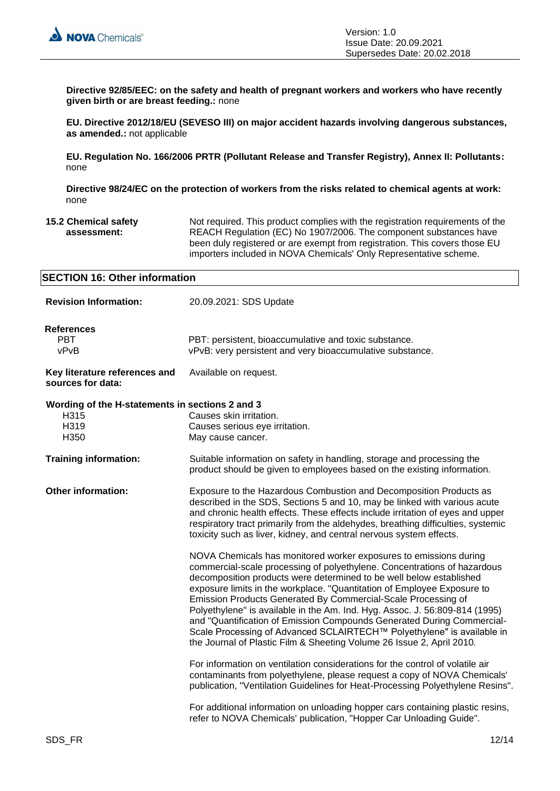

**Directive 92/85/EEC: on the safety and health of pregnant workers and workers who have recently given birth or are breast feeding.:** none

**EU. Directive 2012/18/EU (SEVESO III) on major accident hazards involving dangerous substances, as amended.:** not applicable

**EU. Regulation No. 166/2006 PRTR (Pollutant Release and Transfer Registry), Annex II: Pollutants:**  none

**Directive 98/24/EC on the protection of workers from the risks related to chemical agents at work:**  none

**15.2 Chemical safety assessment:** Not required. This product complies with the registration requirements of the REACH Regulation (EC) No 1907/2006. The component substances have been duly registered or are exempt from registration. This covers those EU importers included in NOVA Chemicals' Only Representative scheme.

| <b>SECTION 16: Other information</b>                                    |                                                                                                                                                                                                                                                                                                                                                                                                                                                                                                                                                                                                                                                                              |  |
|-------------------------------------------------------------------------|------------------------------------------------------------------------------------------------------------------------------------------------------------------------------------------------------------------------------------------------------------------------------------------------------------------------------------------------------------------------------------------------------------------------------------------------------------------------------------------------------------------------------------------------------------------------------------------------------------------------------------------------------------------------------|--|
| <b>Revision Information:</b>                                            | 20.09.2021: SDS Update                                                                                                                                                                                                                                                                                                                                                                                                                                                                                                                                                                                                                                                       |  |
| <b>References</b><br><b>PBT</b><br>vPvB                                 | PBT: persistent, bioaccumulative and toxic substance.<br>vPvB: very persistent and very bioaccumulative substance.                                                                                                                                                                                                                                                                                                                                                                                                                                                                                                                                                           |  |
| Key literature references and<br>sources for data:                      | Available on request.                                                                                                                                                                                                                                                                                                                                                                                                                                                                                                                                                                                                                                                        |  |
| Wording of the H-statements in sections 2 and 3<br>H315<br>H319<br>H350 | Causes skin irritation.<br>Causes serious eye irritation.<br>May cause cancer.                                                                                                                                                                                                                                                                                                                                                                                                                                                                                                                                                                                               |  |
| <b>Training information:</b>                                            | Suitable information on safety in handling, storage and processing the<br>product should be given to employees based on the existing information.                                                                                                                                                                                                                                                                                                                                                                                                                                                                                                                            |  |
| <b>Other information:</b>                                               | Exposure to the Hazardous Combustion and Decomposition Products as<br>described in the SDS, Sections 5 and 10, may be linked with various acute<br>and chronic health effects. These effects include irritation of eyes and upper<br>respiratory tract primarily from the aldehydes, breathing difficulties, systemic<br>toxicity such as liver, kidney, and central nervous system effects.                                                                                                                                                                                                                                                                                 |  |
|                                                                         | NOVA Chemicals has monitored worker exposures to emissions during<br>commercial-scale processing of polyethylene. Concentrations of hazardous<br>decomposition products were determined to be well below established<br>exposure limits in the workplace. "Quantitation of Employee Exposure to<br>Emission Products Generated By Commercial-Scale Processing of<br>Polyethylene" is available in the Am. Ind. Hyg. Assoc. J. 56:809-814 (1995)<br>and "Quantification of Emission Compounds Generated During Commercial-<br>Scale Processing of Advanced SCLAIRTECH™ Polyethylene" is available in<br>the Journal of Plastic Film & Sheeting Volume 26 Issue 2, April 2010. |  |
|                                                                         | For information on ventilation considerations for the control of volatile air<br>contaminants from polyethylene, please request a copy of NOVA Chemicals'<br>publication, "Ventilation Guidelines for Heat-Processing Polyethylene Resins".                                                                                                                                                                                                                                                                                                                                                                                                                                  |  |
|                                                                         | For additional information on unloading hopper cars containing plastic resins,<br>refer to NOVA Chemicals' publication, "Hopper Car Unloading Guide".                                                                                                                                                                                                                                                                                                                                                                                                                                                                                                                        |  |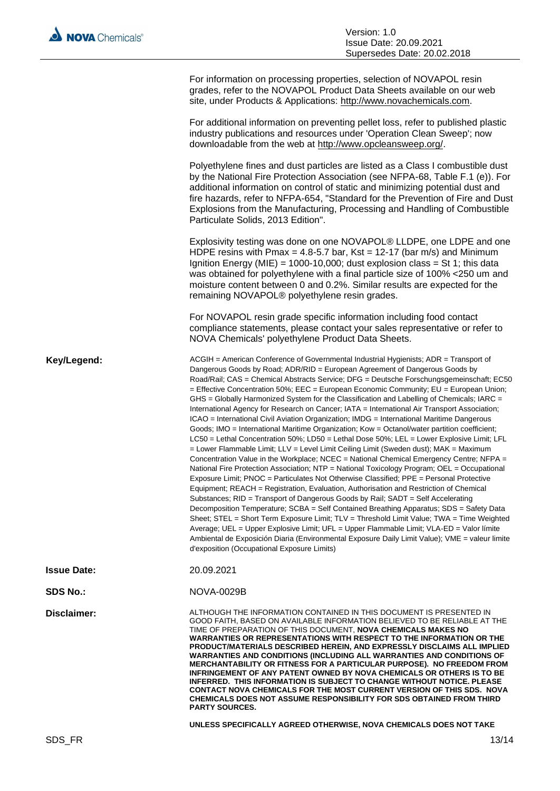| For information on processing properties, selection of NOVAPOL resin<br>grades, refer to the NOVAPOL Product Data Sheets available on our web<br>site, under Products & Applications: http://www.novachemicals.com.                                                                                                                |
|------------------------------------------------------------------------------------------------------------------------------------------------------------------------------------------------------------------------------------------------------------------------------------------------------------------------------------|
| For additional information on preventing pellet loss, refer to published plastic<br>industry publications and resources under 'Operation Clean Sweep'; now<br>downloadable from the web at http://www.opcleansweep.org/.                                                                                                           |
| Polyethylene fines and dust particles are listed as a Class I combustible dust<br>by the National Fire Protection Association (see NFPA-68, Table F.1 (e)). For<br>additional information on control of static and minimizing potential dust and<br>fire hazards, refer to NFPA-654, "Standard for the Prevention of Fire and Dust |

Explosivity testing was done on one NOVAPOL® LLDPE, one LDPE and one HDPE resins with Pmax = 4.8-5.7 bar,  $Kst = 12-17$  (bar m/s) and Minimum Ignition Energy (MIE) = 1000-10,000; dust explosion class = St 1; this data was obtained for polyethylene with a final particle size of 100% <250 um and moisture content between 0 and 0.2%. Similar results are expected for the remaining NOVAPOL® polyethylene resin grades.

Explosions from the Manufacturing, Processing and Handling of Combustible

For NOVAPOL resin grade specific information including food contact compliance statements, please contact your sales representative or refer to NOVA Chemicals' polyethylene Product Data Sheets.

Key/Legend: ACGIH = American Conference of Governmental Industrial Hygienists; ADR = Transport of Dangerous Goods by Road; ADR/RID = European Agreement of Dangerous Goods by Road/Rail; CAS = Chemical Abstracts Service; DFG = Deutsche Forschungsgemeinschaft; EC50 = Effective Concentration 50%; EEC = European Economic Community; EU = European Union; GHS = Globally Harmonized System for the Classification and Labelling of Chemicals: IARC = International Agency for Research on Cancer; IATA = International Air Transport Association; ICAO = International Civil Aviation Organization; IMDG = International Maritime Dangerous Goods; IMO = International Maritime Organization; Kow = Octanol/water partition coefficient; LC50 = Lethal Concentration 50%; LD50 = Lethal Dose 50%; LEL = Lower Explosive Limit; LFL  $=$  Lower Flammable Limit; LLV = Level Limit Ceiling Limit (Sweden dust); MAK = Maximum Concentration Value in the Workplace; NCEC = National Chemical Emergency Centre; NFPA = National Fire Protection Association; NTP = National Toxicology Program; OEL = Occupational Exposure Limit; PNOC = Particulates Not Otherwise Classified; PPE = Personal Protective Equipment; REACH = Registration, Evaluation, Authorisation and Restriction of Chemical Substances; RID = Transport of Dangerous Goods by Rail; SADT = Self Accelerating Decomposition Temperature; SCBA = Self Contained Breathing Apparatus; SDS = Safety Data Sheet; STEL = Short Term Exposure Limit; TLV = Threshold Limit Value; TWA = Time Weighted Average; UEL = Upper Explosive Limit; UFL = Upper Flammable Limit; VLA-ED = Valor límite Ambiental de Exposición Diaria (Environmental Exposure Daily Limit Value); VME = valeur limite d'exposition (Occupational Exposure Limits)

Particulate Solids, 2013 Edition".

| 20.09.2021<br><b>Issue Date:</b> |
|----------------------------------|
|----------------------------------|

**SDS No.:** NOVA-0029B

**Disclaimer:** ALTHOUGH THE INFORMATION CONTAINED IN THIS DOCUMENT IS PRESENTED IN GOOD FAITH, BASED ON AVAILABLE INFORMATION BELIEVED TO BE RELIABLE AT THE TIME OF PREPARATION OF THIS DOCUMENT, **NOVA CHEMICALS MAKES NO WARRANTIES OR REPRESENTATIONS WITH RESPECT TO THE INFORMATION OR THE PRODUCT/MATERIALS DESCRIBED HEREIN, AND EXPRESSLY DISCLAIMS ALL IMPLIED WARRANTIES AND CONDITIONS (INCLUDING ALL WARRANTIES AND CONDITIONS OF MERCHANTABILITY OR FITNESS FOR A PARTICULAR PURPOSE). NO FREEDOM FROM INFRINGEMENT OF ANY PATENT OWNED BY NOVA CHEMICALS OR OTHERS IS TO BE INFERRED. THIS INFORMATION IS SUBJECT TO CHANGE WITHOUT NOTICE. PLEASE CONTACT NOVA CHEMICALS FOR THE MOST CURRENT VERSION OF THIS SDS. NOVA CHEMICALS DOES NOT ASSUME RESPONSIBILITY FOR SDS OBTAINED FROM THIRD PARTY SOURCES.**

**UNLESS SPECIFICALLY AGREED OTHERWISE, NOVA CHEMICALS DOES NOT TAKE**